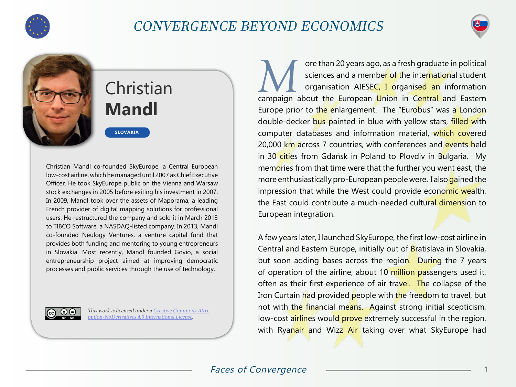

## CONVERGENCE BEYOND ECONOMICS



## Christian **Mandl**

**SLOVAKIA**

Christian Mandl co-founded SkyEurope, a Central European low-cost airline, which he managed until 2007 as Chief Executive Officer. He took SkyEurope public on the Vienna and Warsaw stock exchanges in 2005 before exiting his investment in 2007. In 2009, Mandl took over the assets of Maporama, a leading French provider of digital mapping solutions for professional users. He restructured the company and sold it in March 2013 to TIBCO Software, a NASDAQ-listed company. In 2013, Mandl co-founded Neulogy Ventures, a venture capital fund that provides both funding and mentoring to young entrepreneurs in Slovakia. Most recently, Mandl founded Govio, a social entrepreneurship project aimed at improving democratic processes and public services through the use of technology.



This work is licensed under a [Creative Commons Attri](https://creativecommons.org/licenses/by-nd/4.0/)[bution-NoDerivatives 4.0 International License](https://creativecommons.org/licenses/by-nd/4.0/).

The axes of the international sciences and a member of the international student organisation AIESEC, I organised an information sciences and a membe<mark>r of t</mark>he inter<mark>nation</mark>al student organisation AIESEC, I organised an information campaign about the European Union in Central and Eastern Europe prior to the enlargement. The "Eurobus" was a London double-decker bus painted in blue with yellow stars, filled with computer databases and information material, which covered 20,000 km across 7 countries, with conferences and events held in 30 cities from Gdańsk in Poland to Plovdiv in Bulgaria. My memories from that time were that the further you went east, the more enthusiastically pro-European people were. I also gained the impression that while the West could provide economic wealth, the East could contribute a much-needed cultural dimension to European integration.

A few years later, I launched SkyEurope, the first low-cost airline in Central and Eastern Europe, initially out of Bratislava in Slovakia, but soon adding bases across the region. During the 7 years of operation of the airline, about 10 million passengers used it, often as their first experience of air travel. The collapse of the Iron Curtain had provided people with the freedom to travel, but not with the financial means. Against strong initial scepticism, low-cost airlines would prove extremely successful in the region, with Ryanair and Wizz Air taking over what SkyEurope had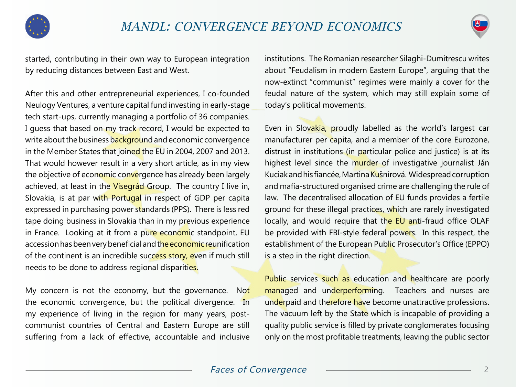

started, contributing in their own way to European integration by reducing distances between East and West.

After this and other entrepreneurial experiences, I co-founded Neulogy Ventures, a venture capital fund investing in early-stage tech start-ups, currently managing a portfolio of 36 companies. I guess that based on my track record, I would be expected to write about the business background and economic convergence in the Member States that joined the EU in 2004, 2007 and 2013. That would however result in a very short article, as in my view the objective of economic convergence has already been largely achieved, at least in the Visegrád Group. The country I live in, Slovakia, is at par with Portugal in respect of GDP per capita expressed in purchasing power standards (PPS). There is less red tape doing business in Slovakia than in my previous experience in France. Looking at it from a pure economic standpoint, EU accession has been very beneficial and the economic reunification of the continent is an incredible success story, even if much still needs to be done to address regional disparities.

My concern is not the economy, but the governance. Not the economic convergence, but the political divergence. In my experience of living in the region for many years, postcommunist countries of Central and Eastern Europe are still suffering from a lack of effective, accountable and inclusive

institutions. The Romanian researcher Silaghi-Dumitrescu writes about "Feudalism in modern Eastern Europe", arguing that the now-extinct "communist" regimes were mainly a cover for the feudal nature of the system, which may still explain some of today's political movements.

Even in Slovakia, proudly labelled as the world's largest car manufacturer per capita, and a member of the core Eurozone, distrust in institutions (in particular police and justice) is at its highest level since the murder of investigative journalist Ján Kuciak and his fiancée, Martina Kušnírová. Widespread corruption and mafia-structured organised crime are challenging the rule of law. The decentralised allocation of EU funds provides a fertile ground for these illegal practices, which are rarely investigated locally, and would require that the EU anti-fraud office OLAF be provided with FBI-style federal powers. In this respect, the establishment of the European Public Prosecutor's Office (EPPO) is a step in the right direction.

Public services such as education and healthcare are poorly managed and underperforming. Teachers and nurses are underpaid and therefore have become unattractive professions. The vacuum left by the State which is incapable of providing a quality public service is filled by private conglomerates focusing only on the most profitable treatments, leaving the public sector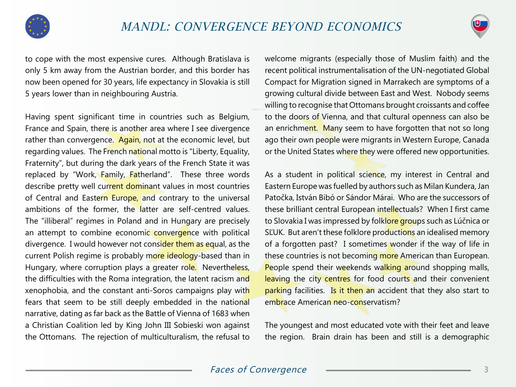



to cope with the most expensive cures. Although Bratislava is only 5 km away from the Austrian border, and this border has now been opened for 30 years, life expectancy in Slovakia is still 5 years lower than in neighbouring Austria.

Having spent significant time in countries such as Belgium, France and Spain, there is another area where I see divergence rather than convergence. Again, not at the economic level, but regarding values. The French national motto is "Liberty, Equality, Fraternity", but during the dark years of the French State it was replaced by "Work, Family, Fatherland". These three words describe pretty well current dominant values in most countries of Central and Eastern Europe, and contrary to the universal ambitions of the former, the latter are self-centred values. The "illiberal" regimes in Poland and in Hungary are precisely an attempt to combine economic convergence with political divergence. I would however not consider them as equal, as the current Polish regime is probably more ideology-based than in Hungary, where corruption plays a greater role. Nevertheless, the difficulties with the Roma integration, the latent racism and xenophobia, and the constant anti-Soros campaigns play with fears that seem to be still deeply embedded in the national narrative, dating as far back as the Battle of Vienna of 1683 when a Christian Coalition led by King John III Sobieski won against the Ottomans. The rejection of multiculturalism, the refusal to

welcome migrants (especially those of Muslim faith) and the recent political instrumentalisation of the UN-negotiated Global Compact for Migration signed in Marrakech are symptoms of a growing cultural divide between East and West. Nobody seems willing to recognise that Ottomans brought croissants and coffee to the doors of Vienna, and that cultural openness can also be an enrichment. Many seem to have forgotten that not so long ago their own people were migrants in Western Europe, Canada or the United States where they were offered new opportunities.

As a student in political science, my interest in Central and Eastern Europe was fuelled by authors such as Milan Kundera, Jan Patočka, István Bibó or Sándor Márai. Who are the successors of these brilliant central European intellectuals? When I first came to Slovakia I was impressed by folklore groups such as Lúčnica or SĽUK. But aren't these folklore productions an idealised memory of a forgotten past? I sometimes wonder if the way of life in these countries is not becoming more American than European. People spend their weekends walking around shopping malls, leaving the city centres for food courts and their convenient parking facilities. Is it then an accident that they also start to embrace American neo-conservatism?

The youngest and most educated vote with their feet and leave the region. Brain drain has been and still is a demographic